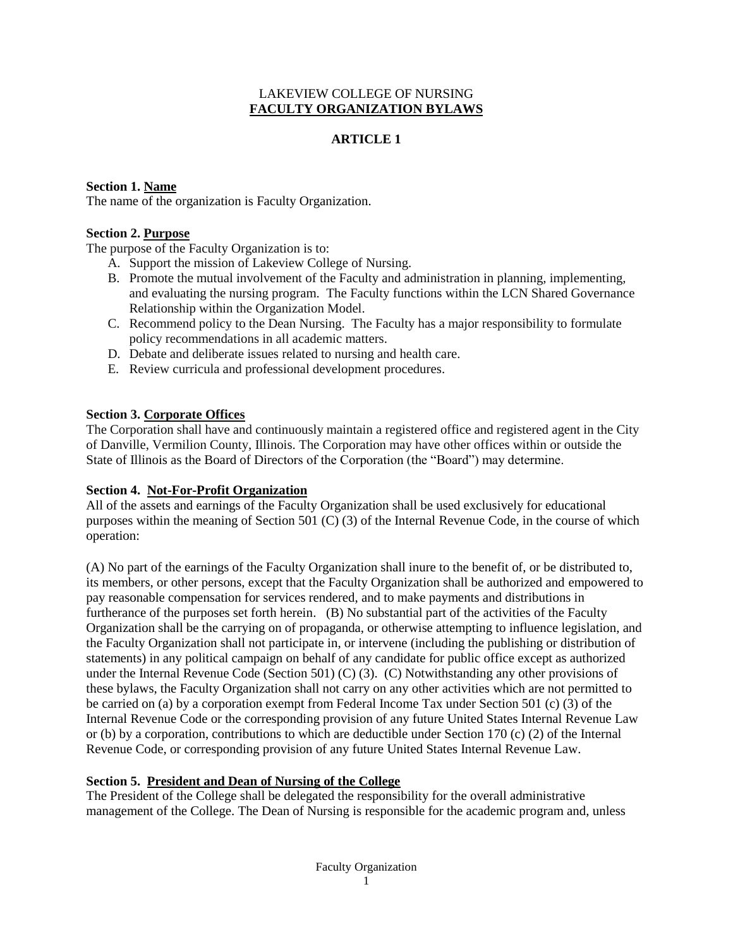# LAKEVIEW COLLEGE OF NURSING **FACULTY ORGANIZATION BYLAWS**

# **ARTICLE 1**

# **Section 1. Name**

The name of the organization is Faculty Organization.

## **Section 2. Purpose**

The purpose of the Faculty Organization is to:

- A. Support the mission of Lakeview College of Nursing.
- B. Promote the mutual involvement of the Faculty and administration in planning, implementing, and evaluating the nursing program. The Faculty functions within the LCN Shared Governance Relationship within the Organization Model.
- C. Recommend policy to the Dean Nursing. The Faculty has a major responsibility to formulate policy recommendations in all academic matters.
- D. Debate and deliberate issues related to nursing and health care.
- E. Review curricula and professional development procedures.

## **Section 3. Corporate Offices**

The Corporation shall have and continuously maintain a registered office and registered agent in the City of Danville, Vermilion County, Illinois. The Corporation may have other offices within or outside the State of Illinois as the Board of Directors of the Corporation (the "Board") may determine.

### **Section 4. Not-For-Profit Organization**

All of the assets and earnings of the Faculty Organization shall be used exclusively for educational purposes within the meaning of Section 501 (C) (3) of the Internal Revenue Code, in the course of which operation:

(A) No part of the earnings of the Faculty Organization shall inure to the benefit of, or be distributed to, its members, or other persons, except that the Faculty Organization shall be authorized and empowered to pay reasonable compensation for services rendered, and to make payments and distributions in furtherance of the purposes set forth herein. (B) No substantial part of the activities of the Faculty Organization shall be the carrying on of propaganda, or otherwise attempting to influence legislation, and the Faculty Organization shall not participate in, or intervene (including the publishing or distribution of statements) in any political campaign on behalf of any candidate for public office except as authorized under the Internal Revenue Code (Section 501) (C) (3). (C) Notwithstanding any other provisions of these bylaws, the Faculty Organization shall not carry on any other activities which are not permitted to be carried on (a) by a corporation exempt from Federal Income Tax under Section 501 (c) (3) of the Internal Revenue Code or the corresponding provision of any future United States Internal Revenue Law or (b) by a corporation, contributions to which are deductible under Section 170 (c) (2) of the Internal Revenue Code, or corresponding provision of any future United States Internal Revenue Law.

# **Section 5. President and Dean of Nursing of the College**

The President of the College shall be delegated the responsibility for the overall administrative management of the College. The Dean of Nursing is responsible for the academic program and, unless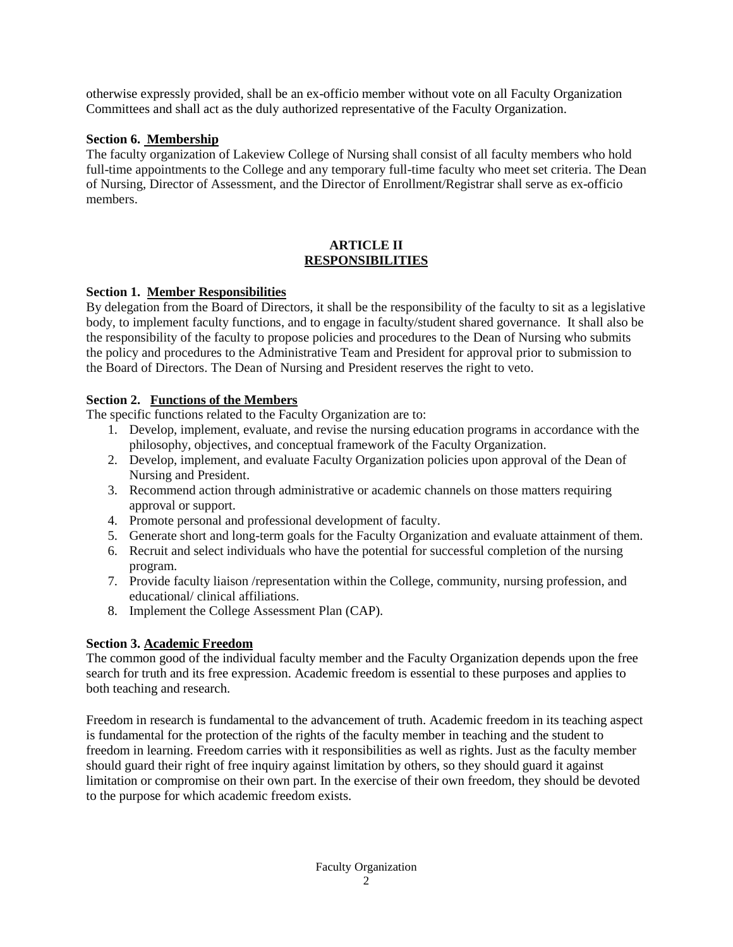otherwise expressly provided, shall be an ex-officio member without vote on all Faculty Organization Committees and shall act as the duly authorized representative of the Faculty Organization.

## **Section 6. Membership**

The faculty organization of Lakeview College of Nursing shall consist of all faculty members who hold full-time appointments to the College and any temporary full-time faculty who meet set criteria. The Dean of Nursing, Director of Assessment, and the Director of Enrollment/Registrar shall serve as ex-officio members.

### **ARTICLE II RESPONSIBILITIES**

## **Section 1. Member Responsibilities**

By delegation from the Board of Directors, it shall be the responsibility of the faculty to sit as a legislative body, to implement faculty functions, and to engage in faculty/student shared governance. It shall also be the responsibility of the faculty to propose policies and procedures to the Dean of Nursing who submits the policy and procedures to the Administrative Team and President for approval prior to submission to the Board of Directors. The Dean of Nursing and President reserves the right to veto.

## **Section 2. Functions of the Members**

The specific functions related to the Faculty Organization are to:

- 1. Develop, implement, evaluate, and revise the nursing education programs in accordance with the philosophy, objectives, and conceptual framework of the Faculty Organization.
- 2. Develop, implement, and evaluate Faculty Organization policies upon approval of the Dean of Nursing and President.
- 3. Recommend action through administrative or academic channels on those matters requiring approval or support.
- 4. Promote personal and professional development of faculty.
- 5. Generate short and long-term goals for the Faculty Organization and evaluate attainment of them.
- 6. Recruit and select individuals who have the potential for successful completion of the nursing program.
- 7. Provide faculty liaison /representation within the College, community, nursing profession, and educational/ clinical affiliations.
- 8. Implement the College Assessment Plan (CAP).

# **Section 3. Academic Freedom**

The common good of the individual faculty member and the Faculty Organization depends upon the free search for truth and its free expression. Academic freedom is essential to these purposes and applies to both teaching and research.

Freedom in research is fundamental to the advancement of truth. Academic freedom in its teaching aspect is fundamental for the protection of the rights of the faculty member in teaching and the student to freedom in learning. Freedom carries with it responsibilities as well as rights. Just as the faculty member should guard their right of free inquiry against limitation by others, so they should guard it against limitation or compromise on their own part. In the exercise of their own freedom, they should be devoted to the purpose for which academic freedom exists.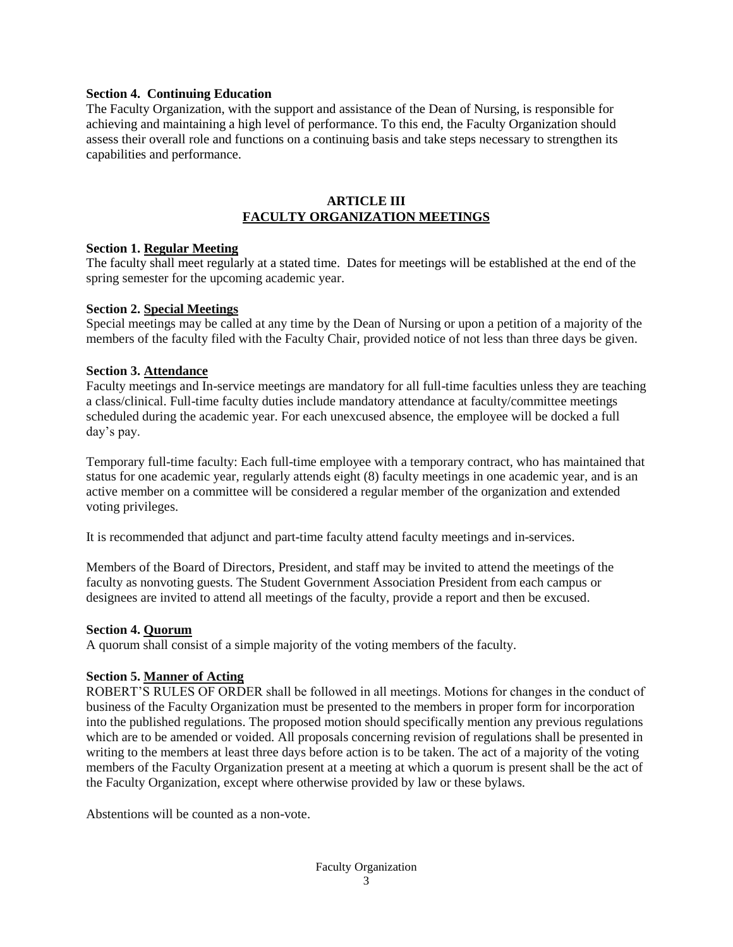### **Section 4. Continuing Education**

The Faculty Organization, with the support and assistance of the Dean of Nursing, is responsible for achieving and maintaining a high level of performance. To this end, the Faculty Organization should assess their overall role and functions on a continuing basis and take steps necessary to strengthen its capabilities and performance.

### **ARTICLE III FACULTY ORGANIZATION MEETINGS**

#### **Section 1. Regular Meeting**

The faculty shall meet regularly at a stated time. Dates for meetings will be established at the end of the spring semester for the upcoming academic year.

### **Section 2. Special Meetings**

Special meetings may be called at any time by the Dean of Nursing or upon a petition of a majority of the members of the faculty filed with the Faculty Chair, provided notice of not less than three days be given.

### **Section 3. Attendance**

Faculty meetings and In-service meetings are mandatory for all full-time faculties unless they are teaching a class/clinical. Full-time faculty duties include mandatory attendance at faculty/committee meetings scheduled during the academic year. For each unexcused absence, the employee will be docked a full day's pay.

Temporary full-time faculty: Each full-time employee with a temporary contract, who has maintained that status for one academic year, regularly attends eight (8) faculty meetings in one academic year, and is an active member on a committee will be considered a regular member of the organization and extended voting privileges.

It is recommended that adjunct and part-time faculty attend faculty meetings and in-services.

Members of the Board of Directors, President, and staff may be invited to attend the meetings of the faculty as nonvoting guests. The Student Government Association President from each campus or designees are invited to attend all meetings of the faculty, provide a report and then be excused.

#### **Section 4. Quorum**

A quorum shall consist of a simple majority of the voting members of the faculty.

### **Section 5. Manner of Acting**

ROBERT'S RULES OF ORDER shall be followed in all meetings. Motions for changes in the conduct of business of the Faculty Organization must be presented to the members in proper form for incorporation into the published regulations. The proposed motion should specifically mention any previous regulations which are to be amended or voided. All proposals concerning revision of regulations shall be presented in writing to the members at least three days before action is to be taken. The act of a majority of the voting members of the Faculty Organization present at a meeting at which a quorum is present shall be the act of the Faculty Organization, except where otherwise provided by law or these bylaws.

Abstentions will be counted as a non-vote.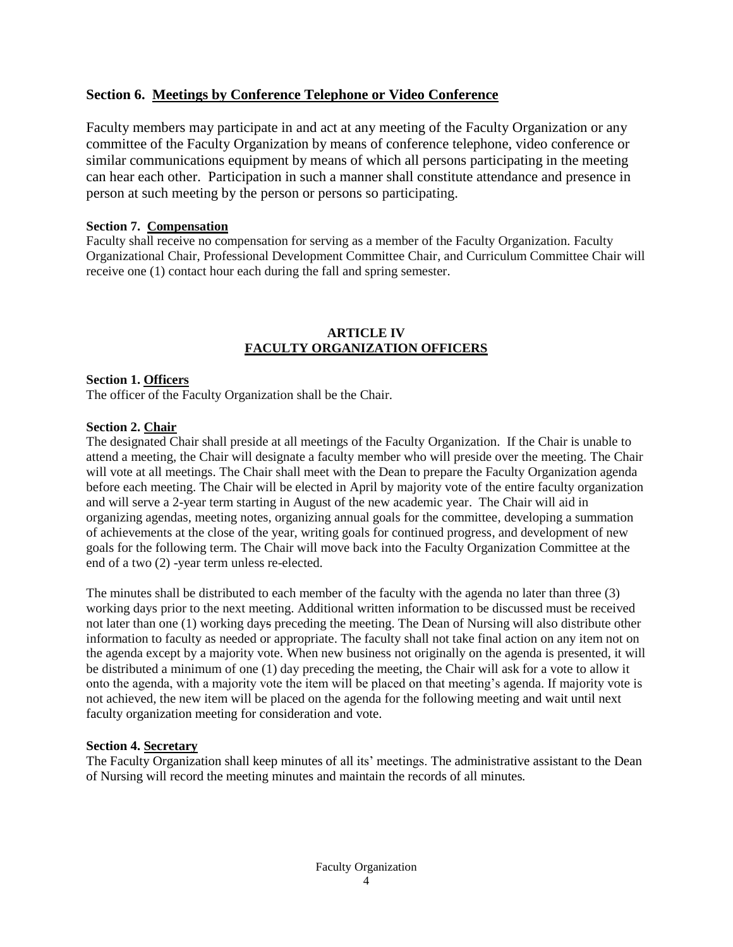# **Section 6. Meetings by Conference Telephone or Video Conference**

Faculty members may participate in and act at any meeting of the Faculty Organization or any committee of the Faculty Organization by means of conference telephone, video conference or similar communications equipment by means of which all persons participating in the meeting can hear each other. Participation in such a manner shall constitute attendance and presence in person at such meeting by the person or persons so participating.

### **Section 7. Compensation**

Faculty shall receive no compensation for serving as a member of the Faculty Organization. Faculty Organizational Chair, Professional Development Committee Chair, and Curriculum Committee Chair will receive one (1) contact hour each during the fall and spring semester.

# **ARTICLE IV FACULTY ORGANIZATION OFFICERS**

### **Section 1. Officers**

The officer of the Faculty Organization shall be the Chair.

## **Section 2. Chair**

The designated Chair shall preside at all meetings of the Faculty Organization. If the Chair is unable to attend a meeting, the Chair will designate a faculty member who will preside over the meeting. The Chair will vote at all meetings. The Chair shall meet with the Dean to prepare the Faculty Organization agenda before each meeting. The Chair will be elected in April by majority vote of the entire faculty organization and will serve a 2-year term starting in August of the new academic year. The Chair will aid in organizing agendas, meeting notes, organizing annual goals for the committee, developing a summation of achievements at the close of the year, writing goals for continued progress, and development of new goals for the following term. The Chair will move back into the Faculty Organization Committee at the end of a two (2) -year term unless re-elected.

The minutes shall be distributed to each member of the faculty with the agenda no later than three (3) working days prior to the next meeting. Additional written information to be discussed must be received not later than one (1) working days preceding the meeting. The Dean of Nursing will also distribute other information to faculty as needed or appropriate. The faculty shall not take final action on any item not on the agenda except by a majority vote. When new business not originally on the agenda is presented, it will be distributed a minimum of one (1) day preceding the meeting, the Chair will ask for a vote to allow it onto the agenda, with a majority vote the item will be placed on that meeting's agenda. If majority vote is not achieved, the new item will be placed on the agenda for the following meeting and wait until next faculty organization meeting for consideration and vote.

### **Section 4. Secretary**

The Faculty Organization shall keep minutes of all its' meetings. The administrative assistant to the Dean of Nursing will record the meeting minutes and maintain the records of all minutes*.*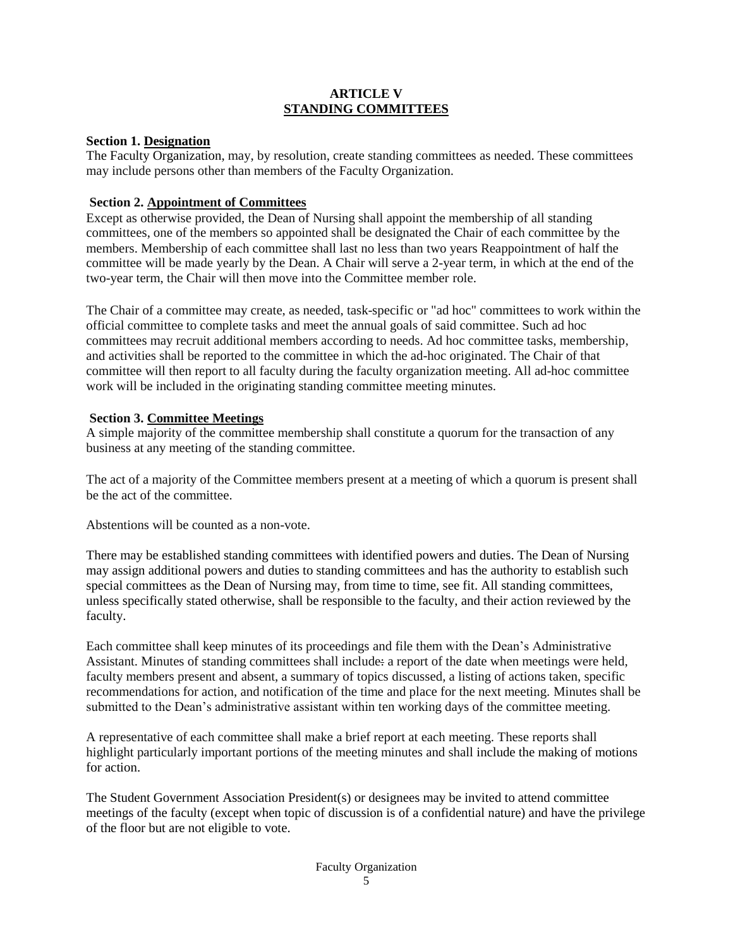## **ARTICLE V STANDING COMMITTEES**

## **Section 1. Designation**

The Faculty Organization, may, by resolution, create standing committees as needed. These committees may include persons other than members of the Faculty Organization.

# **Section 2. Appointment of Committees**

Except as otherwise provided, the Dean of Nursing shall appoint the membership of all standing committees, one of the members so appointed shall be designated the Chair of each committee by the members. Membership of each committee shall last no less than two years Reappointment of half the committee will be made yearly by the Dean. A Chair will serve a 2-year term, in which at the end of the two-year term, the Chair will then move into the Committee member role.

The Chair of a committee may create, as needed, task-specific or "ad hoc" committees to work within the official committee to complete tasks and meet the annual goals of said committee. Such ad hoc committees may recruit additional members according to needs. Ad hoc committee tasks, membership, and activities shall be reported to the committee in which the ad-hoc originated. The Chair of that committee will then report to all faculty during the faculty organization meeting. All ad-hoc committee work will be included in the originating standing committee meeting minutes.

## **Section 3. Committee Meetings**

A simple majority of the committee membership shall constitute a quorum for the transaction of any business at any meeting of the standing committee.

The act of a majority of the Committee members present at a meeting of which a quorum is present shall be the act of the committee.

Abstentions will be counted as a non-vote.

There may be established standing committees with identified powers and duties. The Dean of Nursing may assign additional powers and duties to standing committees and has the authority to establish such special committees as the Dean of Nursing may, from time to time, see fit. All standing committees, unless specifically stated otherwise, shall be responsible to the faculty, and their action reviewed by the faculty.

Each committee shall keep minutes of its proceedings and file them with the Dean's Administrative Assistant. Minutes of standing committees shall include: a report of the date when meetings were held, faculty members present and absent, a summary of topics discussed, a listing of actions taken, specific recommendations for action, and notification of the time and place for the next meeting. Minutes shall be submitted to the Dean's administrative assistant within ten working days of the committee meeting.

A representative of each committee shall make a brief report at each meeting. These reports shall highlight particularly important portions of the meeting minutes and shall include the making of motions for action.

The Student Government Association President(s) or designees may be invited to attend committee meetings of the faculty (except when topic of discussion is of a confidential nature) and have the privilege of the floor but are not eligible to vote.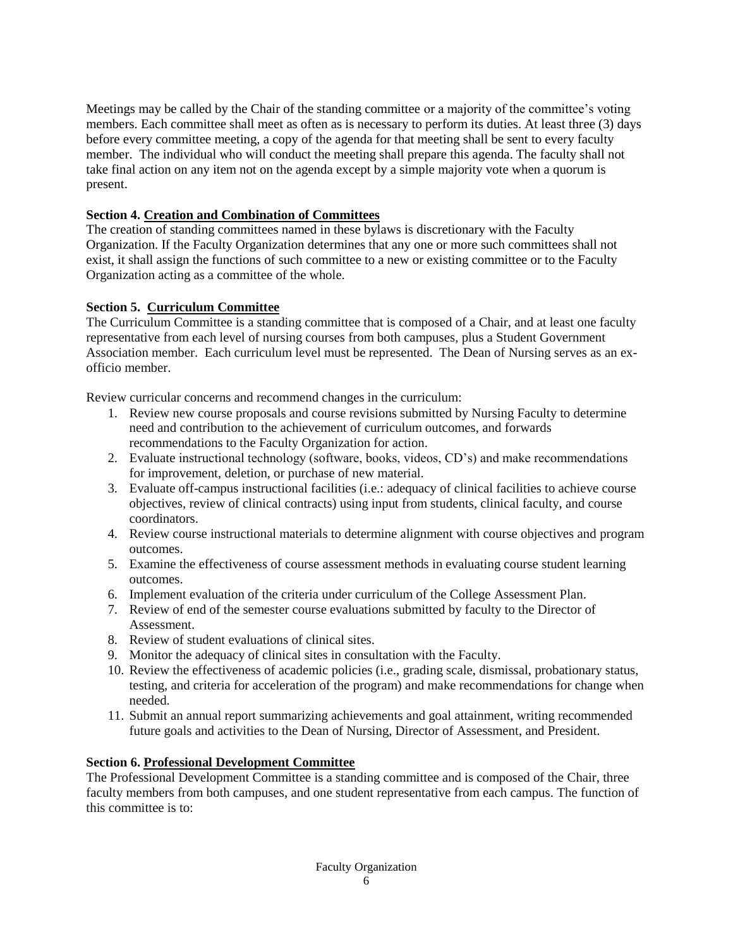Meetings may be called by the Chair of the standing committee or a majority of the committee's voting members. Each committee shall meet as often as is necessary to perform its duties. At least three (3) days before every committee meeting, a copy of the agenda for that meeting shall be sent to every faculty member. The individual who will conduct the meeting shall prepare this agenda. The faculty shall not take final action on any item not on the agenda except by a simple majority vote when a quorum is present.

# **Section 4. Creation and Combination of Committees**

The creation of standing committees named in these bylaws is discretionary with the Faculty Organization. If the Faculty Organization determines that any one or more such committees shall not exist, it shall assign the functions of such committee to a new or existing committee or to the Faculty Organization acting as a committee of the whole.

## **Section 5. Curriculum Committee**

The Curriculum Committee is a standing committee that is composed of a Chair, and at least one faculty representative from each level of nursing courses from both campuses, plus a Student Government Association member. Each curriculum level must be represented. The Dean of Nursing serves as an exofficio member.

Review curricular concerns and recommend changes in the curriculum:

- 1. Review new course proposals and course revisions submitted by Nursing Faculty to determine need and contribution to the achievement of curriculum outcomes, and forwards recommendations to the Faculty Organization for action.
- 2. Evaluate instructional technology (software, books, videos, CD's) and make recommendations for improvement, deletion, or purchase of new material.
- 3. Evaluate off-campus instructional facilities (i.e.: adequacy of clinical facilities to achieve course objectives, review of clinical contracts) using input from students, clinical faculty, and course coordinators.
- 4. Review course instructional materials to determine alignment with course objectives and program outcomes.
- 5. Examine the effectiveness of course assessment methods in evaluating course student learning outcomes.
- 6. Implement evaluation of the criteria under curriculum of the College Assessment Plan.
- 7. Review of end of the semester course evaluations submitted by faculty to the Director of Assessment.
- 8. Review of student evaluations of clinical sites.
- 9. Monitor the adequacy of clinical sites in consultation with the Faculty.
- 10. Review the effectiveness of academic policies (i.e., grading scale, dismissal, probationary status, testing, and criteria for acceleration of the program) and make recommendations for change when needed.
- 11. Submit an annual report summarizing achievements and goal attainment, writing recommended future goals and activities to the Dean of Nursing, Director of Assessment, and President.

# **Section 6. Professional Development Committee**

The Professional Development Committee is a standing committee and is composed of the Chair, three faculty members from both campuses, and one student representative from each campus. The function of this committee is to: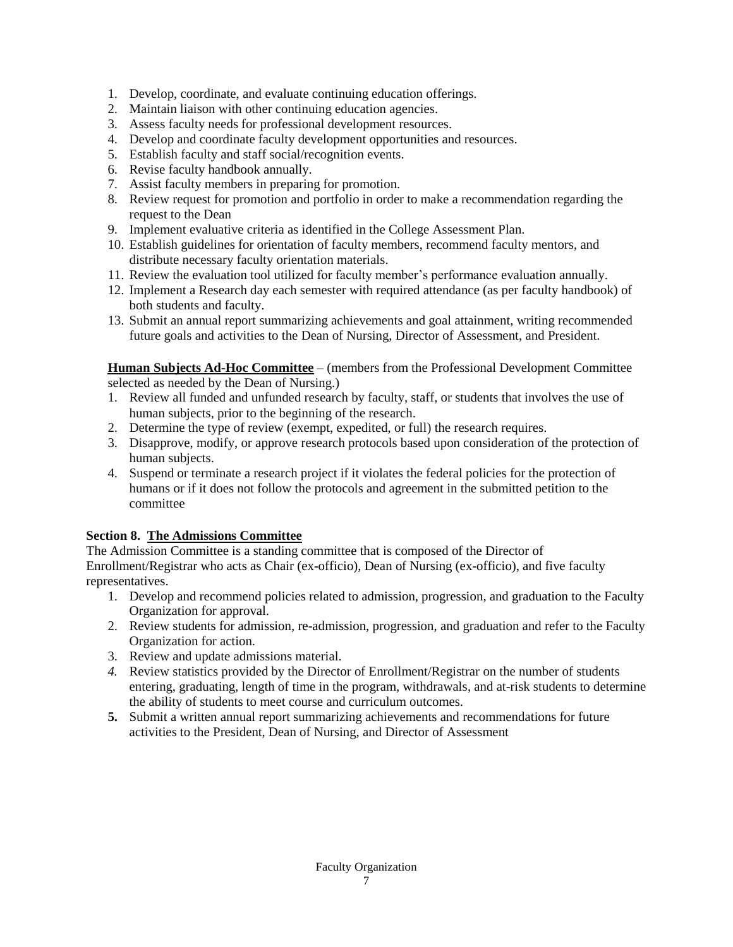- 1. Develop, coordinate, and evaluate continuing education offerings.
- 2. Maintain liaison with other continuing education agencies.
- 3. Assess faculty needs for professional development resources.
- 4. Develop and coordinate faculty development opportunities and resources.
- 5. Establish faculty and staff social/recognition events.
- 6. Revise faculty handbook annually.
- 7. Assist faculty members in preparing for promotion.
- 8. Review request for promotion and portfolio in order to make a recommendation regarding the request to the Dean
- 9. Implement evaluative criteria as identified in the College Assessment Plan.
- 10. Establish guidelines for orientation of faculty members, recommend faculty mentors, and distribute necessary faculty orientation materials.
- 11. Review the evaluation tool utilized for faculty member's performance evaluation annually.
- 12. Implement a Research day each semester with required attendance (as per faculty handbook) of both students and faculty.
- 13. Submit an annual report summarizing achievements and goal attainment, writing recommended future goals and activities to the Dean of Nursing, Director of Assessment, and President.

**Human Subjects Ad-Hoc Committee** – (members from the Professional Development Committee selected as needed by the Dean of Nursing.)

- 1. Review all funded and unfunded research by faculty, staff, or students that involves the use of human subjects, prior to the beginning of the research.
- 2. Determine the type of review (exempt, expedited, or full) the research requires.
- 3. Disapprove, modify, or approve research protocols based upon consideration of the protection of human subjects.
- 4. Suspend or terminate a research project if it violates the federal policies for the protection of humans or if it does not follow the protocols and agreement in the submitted petition to the committee

# **Section 8. The Admissions Committee**

The Admission Committee is a standing committee that is composed of the Director of Enrollment/Registrar who acts as Chair (ex-officio), Dean of Nursing (ex-officio), and five faculty representatives.

- 1. Develop and recommend policies related to admission, progression, and graduation to the Faculty Organization for approval.
- 2. Review students for admission, re-admission, progression, and graduation and refer to the Faculty Organization for action.
- 3. Review and update admissions material.
- *4.* Review statistics provided by the Director of Enrollment/Registrar on the number of students entering, graduating, length of time in the program, withdrawals, and at-risk students to determine the ability of students to meet course and curriculum outcomes*.*
- **5.** Submit a written annual report summarizing achievements and recommendations for future activities to the President, Dean of Nursing, and Director of Assessment